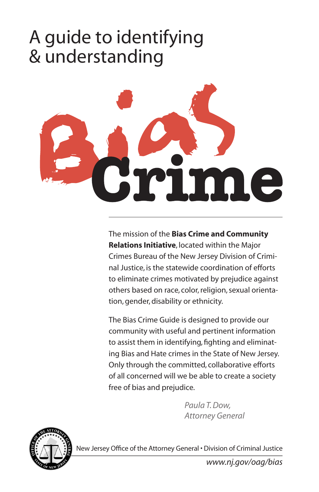# A guide to identifying & understanding



The mission of the **Bias Crime and Community Relations Initiative**, located within the Major Crimes Bureau of the New Jersey Division of Criminal Justice, is the statewide coordination of efforts to eliminate crimes motivated by prejudice against others based on race, color, religion, sexual orientation, gender, disability or ethnicity.

The Bias Crime Guide is designed to provide our community with useful and pertinent information to assist them in identifying, fighting and eliminating Bias and Hate crimes in the State of New Jersey. Only through the committed, collaborative efforts of all concerned will we be able to create a society free of bias and prejudice.

> *Paula T. Dow, Attorney General*



New Jersey Office of the Attorney General • Division of Criminal Justice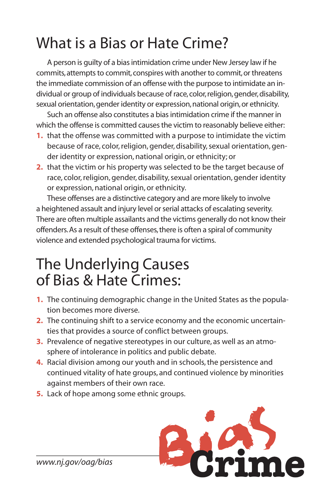## What is a Bias or Hate Crime?

A person is guilty of a bias intimidation crime under New Jersey law if he commits, attempts to commit, conspires with another to commit, or threatens the immediate commission of an offense with the purpose to intimidate an individual or group of individuals because of race, color, religion, gender, disability, sexual orientation, gender identity or expression, national origin, or ethnicity.

Such an offense also constitutes a bias intimidation crime if the manner in which the offense is committed causes the victim to reasonably believe either:

- **1.** that the offense was committed with a purpose to intimidate the victim because of race, color, religion, gender, disability, sexual orientation, gender identity or expression, national origin, or ethnicity; or
- **2.** that the victim or his property was selected to be the target because of race, color, religion, gender, disability, sexual orientation, gender identity or expression, national origin, or ethnicity.

These offenses are a distinctive category and are more likely to involve a heightened assault and injury level or serial attacks of escalating severity. There are often multiple assailants and the victims generally do not know their offenders. As a result of these offenses, there is often a spiral of community violence and extended psychological trauma for victims.

#### The Underlying Causes of Bias & Hate Crimes:

- **1.** The continuing demographic change in the United States as the population becomes more diverse.
- **2.** The continuing shift to a service economy and the economic uncertainties that provides a source of conflict between groups.
- **3.** Prevalence of negative stereotypes in our culture, as well as an atmosphere of intolerance in politics and public debate.
- **4.** Racial division among our youth and in schools, the persistence and continued vitality of hate groups, and continued violence by minorities against members of their own race.
- **5.** Lack of hope among some ethnic groups.



*www.nj.gov/oag/bias*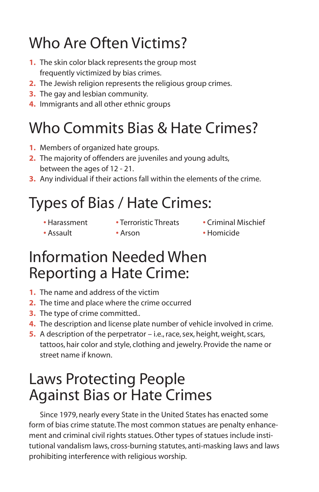## Who Are Often Victims?

- **1.** The skin color black represents the group most frequently victimized by bias crimes.
- **2.** The Jewish religion represents the religious group crimes.
- **3.** The gay and lesbian community.
- **4.** Immigrants and all other ethnic groups

## Who Commits Bias & Hate Crimes?

- **1.** Members of organized hate groups.
- **2.** The majority of offenders are juveniles and young adults, between the ages of 12 - 21.
- **3.** Any individual if their actions fall within the elements of the crime.

# Types of Bias / Hate Crimes:

- 
- **•** Harassment **•** Terroristic Threats Criminal Mischief
- 
- Assault Arson Homicide

### Information Needed When Reporting a Hate Crime:

- **1.** The name and address of the victim
- **2.** The time and place where the crime occurred
- **3.** The type of crime committed..
- **4.** The description and license plate number of vehicle involved in crime.
- **5.** A description of the perpetrator i.e., race, sex, height, weight, scars, tattoos, hair color and style, clothing and jewelry. Provide the name or street name if known.

### Laws Protecting People Against Bias or Hate Crimes

Since 1979, nearly every State in the United States has enacted some form of bias crime statute. The most common statues are penalty enhancement and criminal civil rights statues. Other types of statues include institutional vandalism laws, cross-burning statutes, anti-masking laws and laws prohibiting interference with religious worship.